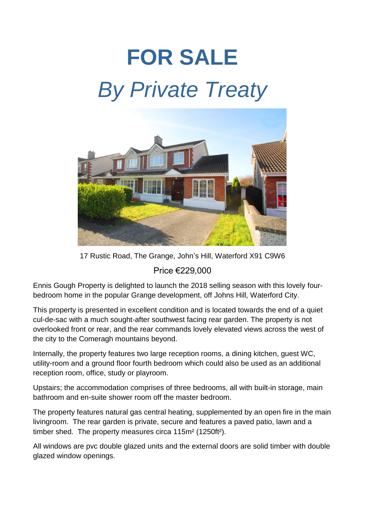## **FOR SALE** *By Private Treaty*



17 Rustic Road, The Grange, John's Hill, Waterford X91 C9W6

Price €229,000

Ennis Gough Property is delighted to launch the 2018 selling season with this lovely fourbedroom home in the popular Grange development, off Johns Hill, Waterford City.

This property is presented in excellent condition and is located towards the end of a quiet cul-de-sac with a much sought-after southwest facing rear garden. The property is not overlooked front or rear, and the rear commands lovely elevated views across the west of the city to the Comeragh mountains beyond.

Internally, the property features two large reception rooms, a dining kitchen, guest WC, utility-room and a ground floor fourth bedroom which could also be used as an additional reception room, office, study or playroom.

Upstairs; the accommodation comprises of three bedrooms, all with built-in storage, main bathroom and en-suite shower room off the master bedroom.

The property features natural gas central heating, supplemented by an open fire in the main livingroom. The rear garden is private, secure and features a paved patio, lawn and a timber shed. The property measures circa 115m² (1250ft²).

All windows are pvc double glazed units and the external doors are solid timber with double glazed window openings.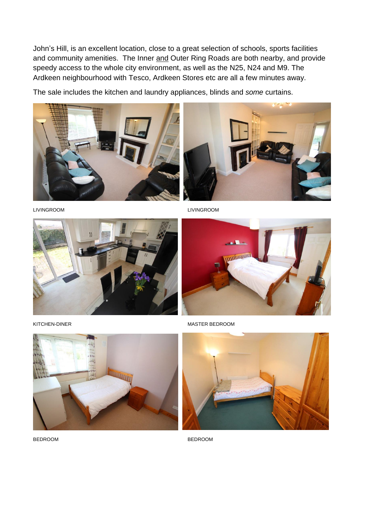John's Hill, is an excellent location, close to a great selection of schools, sports facilities and community amenities. The Inner and Outer Ring Roads are both nearby, and provide speedy access to the whole city environment, as well as the N25, N24 and M9. The Ardkeen neighbourhood with Tesco, Ardkeen Stores etc are all a few minutes away.

The sale includes the kitchen and laundry appliances, blinds and *some* curtains.











KITCHEN-DINER MASTER BEDROOM





BEDROOM BEDROOM